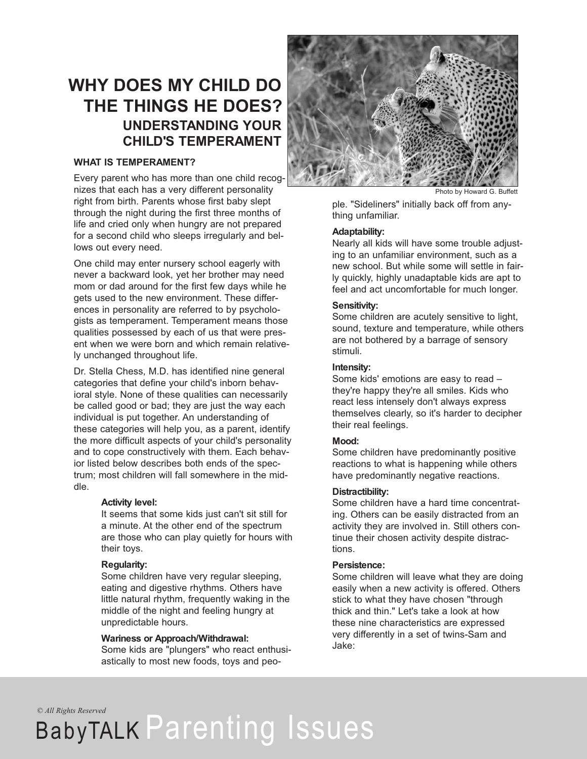### **WHY DOES MY CHILD DO THE THINGS HE DOES? UNDERSTANDING YOUR CHILD'S TEMPERAMENT**

#### **WHAT IS TEMPERAMENT?**

Every parent who has more than one child recognizes that each has a very different personality right from birth. Parents whose first baby slept through the night during the first three months of life and cried only when hungry are not prepared for a second child who sleeps irregularly and bellows out every need.

One child may enter nursery school eagerly with never a backward look, yet her brother may need mom or dad around for the first few days while he gets used to the new environment. These differences in personality are referred to by psychologists as temperament. Temperament means those qualities possessed by each of us that were present when we were born and which remain relatively unchanged throughout life.

Dr. Stella Chess, M.D. has identified nine general categories that define your child's inborn behavioral style. None of these qualities can necessarily be called good or bad; they are just the way each individual is put together. An understanding of these categories will help you, as a parent, identify the more difficult aspects of your child's personality and to cope constructively with them. Each behavior listed below describes both ends of the spectrum; most children will fall somewhere in the middle.

#### **Activity level:**

It seems that some kids just can't sit still for a minute. At the other end of the spectrum are those who can play quietly for hours with their toys.

#### **Regularity:**

Some children have very regular sleeping, eating and digestive rhythms. Others have little natural rhythm, frequently waking in the middle of the night and feeling hungry at unpredictable hours.

#### **Wariness or Approach/Withdrawal:**

Some kids are "plungers" who react enthusiastically to most new foods, toys and peo-



Photo by Howard G. Buffett

ple. "Sideliners" initially back off from anything unfamiliar.

#### **Adaptability:**

Nearly all kids will have some trouble adjusting to an unfamiliar environment, such as a new school. But while some will settle in fairly quickly, highly unadaptable kids are apt to feel and act uncomfortable for much longer.

#### **Sensitivity:**

Some children are acutely sensitive to light, sound, texture and temperature, while others are not bothered by a barrage of sensory stimuli.

#### **Intensity:**

Some kids' emotions are easy to read – they're happy they're all smiles. Kids who react less intensely don't always express themselves clearly, so it's harder to decipher their real feelings.

#### **Mood:**

Some children have predominantly positive reactions to what is happening while others have predominantly negative reactions.

#### **Distractibility:**

Some children have a hard time concentrating. Others can be easily distracted from an activity they are involved in. Still others continue their chosen activity despite distractions.

#### **Persistence:**

Some children will leave what they are doing easily when a new activity is offered. Others stick to what they have chosen "through thick and thin." Let's take a look at how these nine characteristics are expressed very differently in a set of twins-Sam and Jake:

*© All Rights Reserved*

## BabyTALK Parenting Issues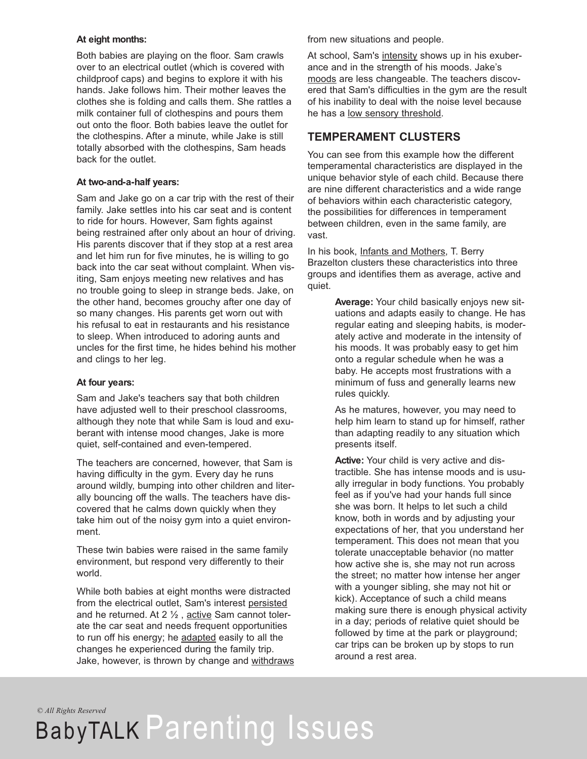#### **At eight months:**

Both babies are playing on the floor. Sam crawls over to an electrical outlet (which is covered with childproof caps) and begins to explore it with his hands. Jake follows him. Their mother leaves the clothes she is folding and calls them. She rattles a milk container full of clothespins and pours them out onto the floor. Both babies leave the outlet for the clothespins. After a minute, while Jake is still totally absorbed with the clothespins, Sam heads back for the outlet.

#### **At two-and-a-half years:**

Sam and Jake go on a car trip with the rest of their family. Jake settles into his car seat and is content to ride for hours. However, Sam fights against being restrained after only about an hour of driving. His parents discover that if they stop at a rest area and let him run for five minutes, he is willing to go back into the car seat without complaint. When visiting, Sam enjoys meeting new relatives and has no trouble going to sleep in strange beds. Jake, on the other hand, becomes grouchy after one day of so many changes. His parents get worn out with his refusal to eat in restaurants and his resistance to sleep. When introduced to adoring aunts and uncles for the first time, he hides behind his mother and clings to her leg.

#### **At four years:**

Sam and Jake's teachers say that both children have adjusted well to their preschool classrooms, although they note that while Sam is loud and exuberant with intense mood changes, Jake is more quiet, self-contained and even-tempered.

The teachers are concerned, however, that Sam is having difficulty in the gym. Every day he runs around wildly, bumping into other children and literally bouncing off the walls. The teachers have discovered that he calms down quickly when they take him out of the noisy gym into a quiet environment.

These twin babies were raised in the same family environment, but respond very differently to their world.

While both babies at eight months were distracted from the electrical outlet, Sam's interest persisted and he returned. At 2 ½ , active Sam cannot tolerate the car seat and needs frequent opportunities to run off his energy; he adapted easily to all the changes he experienced during the family trip. Jake, however, is thrown by change and withdraws from new situations and people.

At school, Sam's intensity shows up in his exuberance and in the strength of his moods. Jake's moods are less changeable. The teachers discovered that Sam's difficulties in the gym are the result of his inability to deal with the noise level because he has a low sensory threshold.

### **TEMPERAMENT CLUSTERS**

You can see from this example how the different temperamental characteristics are displayed in the unique behavior style of each child. Because there are nine different characteristics and a wide range of behaviors within each characteristic category, the possibilities for differences in temperament between children, even in the same family, are vast.

In his book, Infants and Mothers, T. Berry Brazelton clusters these characteristics into three groups and identifies them as average, active and quiet.

> **Average:** Your child basically enjoys new situations and adapts easily to change. He has regular eating and sleeping habits, is moderately active and moderate in the intensity of his moods. It was probably easy to get him onto a regular schedule when he was a baby. He accepts most frustrations with a minimum of fuss and generally learns new rules quickly.

> As he matures, however, you may need to help him learn to stand up for himself, rather than adapting readily to any situation which presents itself.

**Active:** Your child is very active and distractible. She has intense moods and is usually irregular in body functions. You probably feel as if you've had your hands full since she was born. It helps to let such a child know, both in words and by adjusting your expectations of her, that you understand her temperament. This does not mean that you tolerate unacceptable behavior (no matter how active she is, she may not run across the street; no matter how intense her anger with a younger sibling, she may not hit or kick). Acceptance of such a child means making sure there is enough physical activity in a day; periods of relative quiet should be followed by time at the park or playground; car trips can be broken up by stops to run around a rest area.

*© All Rights Reserved*

# BabyTALK Parenting Issues